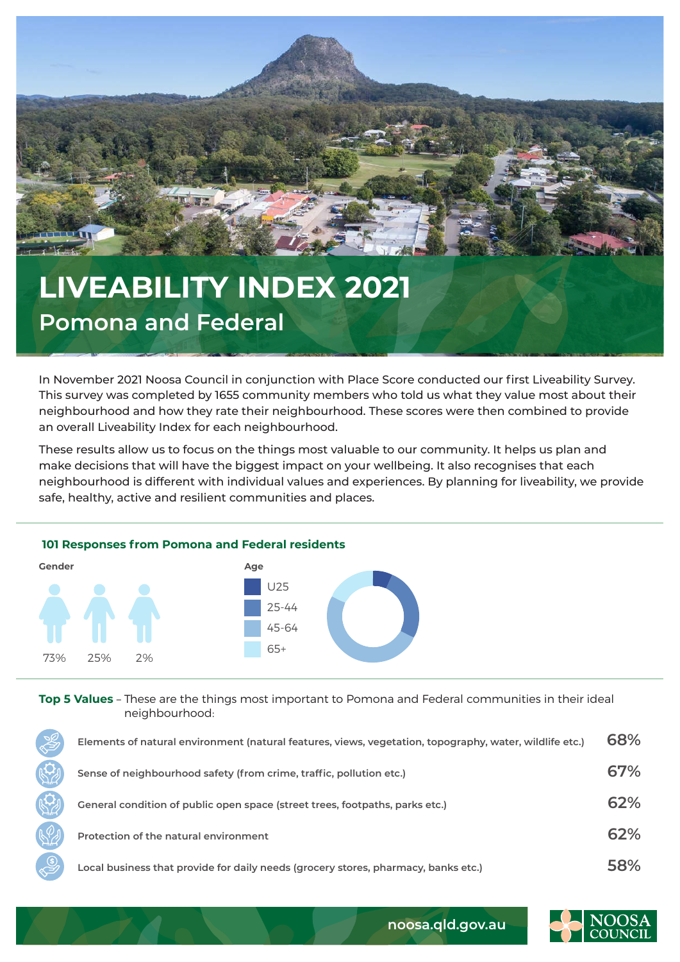

## **LIVEABILITY INDEX 2021 Pomona and Federal**

In November 2021 Noosa Council in conjunction with Place Score conducted our first Liveability Survey. This survey was completed by 1655 community members who told us what they value most about their neighbourhood and how they rate their neighbourhood. These scores were then combined to provide an overall Liveability Index for each neighbourhood.

These results allow us to focus on the things most valuable to our community. It helps us plan and make decisions that will have the biggest impact on your wellbeing. It also recognises that each neighbourhood is different with individual values and experiences. By planning for liveability, we provide safe, healthy, active and resilient communities and places.



**Top 5 Values** – These are the things most important to Pomona and Federal communities in their ideal neighbourhood:

| <b>S</b> | Elements of natural environment (natural features, views, vegetation, topography, water, wildlife etc.) | 68% |
|----------|---------------------------------------------------------------------------------------------------------|-----|
|          | Sense of neighbourhood safety (from crime, traffic, pollution etc.)                                     | 67% |
|          | General condition of public open space (street trees, footpaths, parks etc.)                            | 62% |
|          | Protection of the natural environment                                                                   | 62% |
|          | Local business that provide for daily needs (grocery stores, pharmacy, banks etc.)                      | 58% |



**noosa.qld.gov.au**